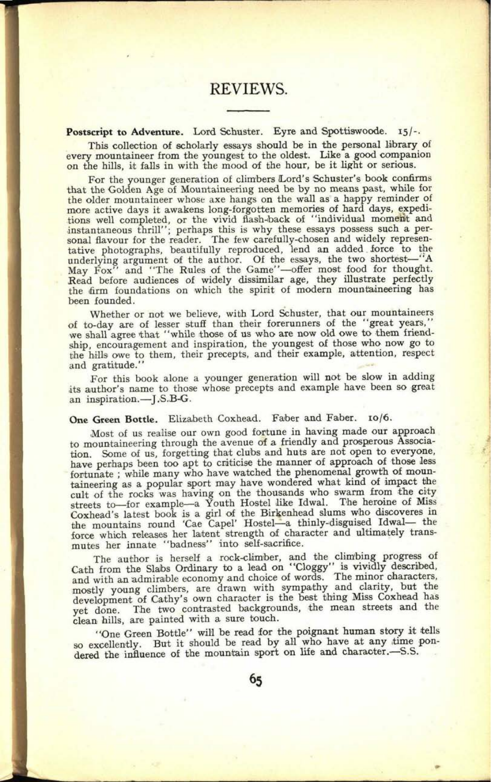# REVIEWS.

#### Postscript to Adventure. Lord Schuster. Eyre and Spottiswoode. 15/-.

This collection of scholarly essays should be in the personal library of every mountaineer from the youngest to the oldest. Like a good companion on the hills, it falls in with the mood of the hour, be it light or serious.

For the younger generation of climbers Lord's Schuster's book confirms that the Golden Age of Mountaineering need be by no means past, while for the older mountaineer whose axe hangs on the wall as a happy reminder of more active days it awakens long-forgotten memories of hard days, expeditions well completed, or the vivid flash-back of "individual moment and instantaneous thrill"; perhaps this *is* why these essays possess such a per-sonal flavour for the reader. The few carefully-chosen and widely representative photographs, beautifully reproduced, lend an added force to the underlying argument of the author. Of the essays, the two shortest—"A May Fox" and "The Rules of the Game"-offer most food for thought. Read before audiences of widely dissimilar age, they illustrate perfectly the firm foundations on which the spirit of modern mountaineering has been founded.

Whether or not we believe, with Lord Schuster, that our mountaineers of to-day are of lesser stuff than their forerunners of the "great years," we shall agree that "while those of us who are now old owe to them friendship, encouragement and inspiration, the youngest of those who now go to the hills owe to them, their precepts, and their example, attention, respect and gratitude."

For this book alone a younger generation will not be slow in adding its author's name to those whose precepts and example have been so grea<sup>t</sup> an inspiration.-J.S.B-G.

One Green Bottle. Elizabeth Coxhead. Faber and Faber. 10/6.

Most of us realise our own good fortune in having made our approach to mountaineering through the avenue of a friendly and prosperous Association. Some of us, forgetting that clubs and huts are not open to everyone, have perhaps been too apt to criticise the manner of approach of those less fortunate ; while many who have watched the phenomenal growth of mountaineering as a popular sport may have wondered what kind of impact the cult of the rocks was having on the thousands who swarm from the city streets to—for example—a Youth Hostel like Idwal. The heroine of Miss Coxhead's latest book is a girl of the Birkenhead slums who disooveres in the mountains round 'Cae Capel' Hostel-a thinly-disguised Idwal- the force which releases her latent strength of character and ultimately transmutes her innate "badness" into self-sacrifice.

The author is herself a rock-climber, and the climbing progress of Cath from the Slabs Ordinary to a lead on "Cloggy" is vividly described, and with an admirable economy and choice of words. The minor characters, mostly young climbers, are drawn with sympathy and clarity, but the development of Cathy's own character is the best thing Miss Coxhead has yet done. The two contrasted backgrounds, the mean streets and the clean hills, are painted with a sure touch.

"One Green Bottle" will be read for the poignant human story it tells so excellently. But it should be read by all who have at any time pondered the influence of the mountain sport on life and character.-S.S.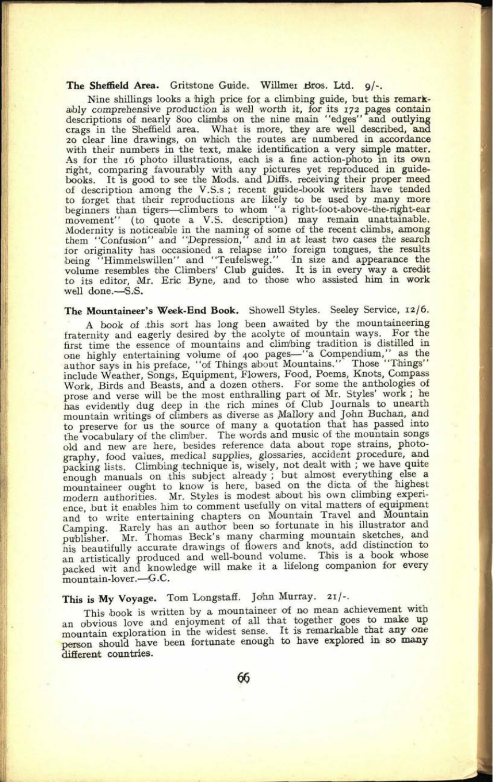#### **The Sheffield Area.** Gritstone Guide. Willmei Bros. Ltd. g/-.

Nine shillings looks a high price for a climbing guide, but this remarkably comprehensive production is well worth it, for its 172 pages contain<br>descriptions of nearly 800 climbs on the nine main "edges" and outlying<br>crags in the Sheffield area. What is more, they are well described, and<br>20 c with their numbers in the text, make identification a very simple matter. As for the 16 photo illustrations, each is a fine action-photo in its own right, comparing favourably with any pictures yet reproduced in guidebooks. It is good to see the Mods, and Difis. receiving their proper meed of description among the V.S.s ; recent guide-book writers have tended to forget that their reproductions are likely to be used by many more beginners than tigers-climbers to whom "a right-foot-above-the-right-ear movement" (to quote a V.S. description) may remain unattainable. Modernity is noticeable in the naming of some of the recent climbs, among them "Confusion" and "Depression," and in at least two cases the search for originality has occasioned a relapse into foreign tongues, the results being "Himmelswillen" and "Teufelsweg." In size and appearance the volume resembles the Climbers' Club guides. It is in every way <sup>a</sup>credit to its editor, Mr. Eric Byne, and to those who assisted him in work well done.-S.S.

#### **The Mountaineer's Week-End Book.** Showell Styles. Seeley Service, 12/6.

A book of this sort has long been awaited by the mountaineering fraternity and eagerly desired by the acolyte of mountain ways. For the first time the essence of mountains and climbing tradition is distilled in one highly entertaining volume of 400 pages—"a Compendium," as the author says in his preface, "of Things about Mountains." Those "Things" include Weather, Songs, Equipment, Flowers, Food, Poems, Knots, Compass Work, Birds and Beasts, and a dozen others. For some the anthologies of prose and verse will be the most enthralling part of Mr. Styles' work ; he has evidently dug deep in the rich mines of Club Journals to unearth mountain writings of climbers as diverse as Mallory and John Buchan, and to preserve for us the source of many a quotation that has passed into the vocabulary of the climber. The words and music of the mountain songs old and new are here, besides reference data about rope strains, photography, food values, medical supplies, glossaries, accident procedure, and packing lists. Climbing technique is, wisely, not dealt with ; we have quite enough manuals on this subject already ; but almost everything else a mountaineer ought to know is here, based on the dicta of the highest modern authorities. Mr. Styles is modest about his own climbing experience, but it enables him to comment usefully on vital matters of equipment and to write entertaining chapters on Mountain Travel and Mountain Camping. Rarely has an author been so fortunate in his illustrator and publisher. Mr. Thomas Beck's many charming mountain sketches, and nis beautifully accurate drawings of flowers and knots, add distinction to an artistically produced and well-bound volume. This is a book whose packed wit and knowledge will make it a lifelong companion for every mountain-lover.-G.C.

## **This is My Voyage.** Tom Loagstafi. John Murray. 2i/-.

This book is written by a mountaineer of no mean achievement with an obvious love and enjoyment of all that together goes to make up mountain exploration in the widest sense. It is remarkable that any one person should have been fortunate enough to have explored in so many different countries.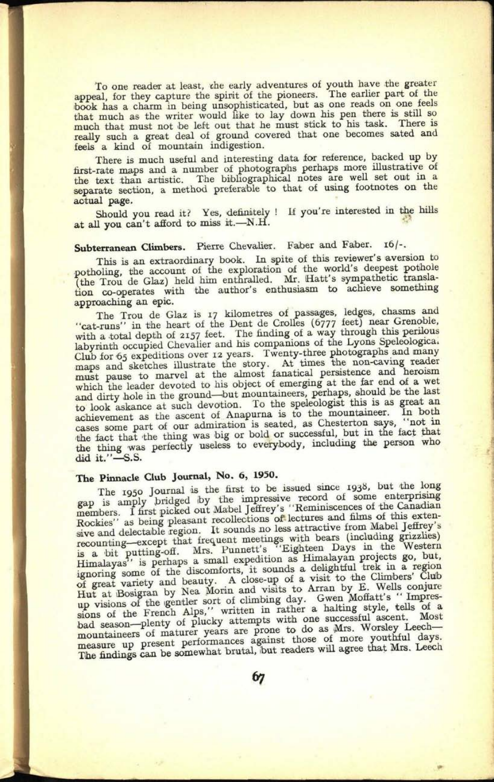To one reader at least, the early adventures of youth have the greater appeal, for they capture the spirit of the pioneers. The earlier part of the book has a charm in being unsophisticated, but as one reads on one feels that much as the writer would like to lay down his pen there is still so much that must not be left out that he must stick to his task. There is really such a great deal of ground covered that one becomes sated and feels a kind of mountain indigestion.

There is much useful and interesting data for reference, backed up by first-rate maps and a number of photographs perhaps more illustrative of the text than artistic. The bibliographical notes are well set out in a separate section, a method preferable to that of using footnotes on the actual page.

Should you read it? Yes, definitely ! If you're interested in the hills at all you can't afford to miss it.-N.H.

## Subterranean Climbers. Pierre Chevalier. Faber and Faber. 16/-.

This is an extraordinary book. In spite of this reviewer's aversion to potholing, the account of the exploration of the world's deepest pothole<br>
(the Trou de Glaz) held him enthralled. Mr. Hatt's sympathetic translation co-operates with the author's enthusiasm to achieve something approaching an epic.

The Trou de Glaz is 17 kilometres of passages, ledges, chasms and "cat-runs" in the heart of the Dent de Crolles (6777 feet) near Grenoble, with a total depth of 2157 feet. The finding of a way through this perilous<br>labyrinth occupied Chevalier and his companions of the Lyons Speleologica<sup>1</sup> Club for 65 expeditions over 12 years. Twenty-three photographs and many maps and sketches illustrate the story. At times the non-caving reader must pause to marvel at the almost fanatical persistence and heroism wet which the leader devoted to his object of emerging at the far end of a wet and dirty hole in the ground-but mountaineers, perhaps, should be the last to look askance at such devotion. To the speleologist this is as great an achievement as the ascent of Anapurna is to the mountaineer. In both cases some part of our admiration is seated, as Chesterton says, "not in the fact that the thing was big or bold or successful, but in the fact that the thing was perfectly useless to everybody, including the person who did it. $"$ -S.S.

## **The Pinnacle Club Journal, No, 6, 1950.**

**89. 0239**

The 1950 Journal is the first to be issued since 1938, but the long In a samply bridged iby the impressive record of some enterprising members. I first picked out Mabel Jeffrey's "Reminiscences of the Canadian members. I first picked out Mabel Jeffrey's "Reminiscences of the Canadian Rocki sive and delectable region. It sounds no less attractive from Mabel Jeffrey's recounting—except that frequent meetings with bears (including grizzlies) recounting-order that the particle of the Highleen Days in the Western<br>Himalayas'' is perhaps a small expedition as Himalayan projects go, but,<br>Himalayas'' is perhaps a small expedition as Himalayan projects go, but,<br>igno Hut at Bosigran by Nea Morin and visits to Arran by E. Wells conjure up visions of the gentler sort of climbing day. Gwen Moffatt's " Impressions of the French Alps," written in rather a halting style, tells of a bad season-plenty of plucky attempts with one successful ascent. Most pad season—pierry of pricely and prone to do as Mrs. Worsley Leech—<br>mountaineers of maturer years are prone to do as Mrs. Worsley Leech mountaineers of maturer years are regainst those of more youthful days. The findings can be somewhat brutal, but readers will agree that Mrs. Leech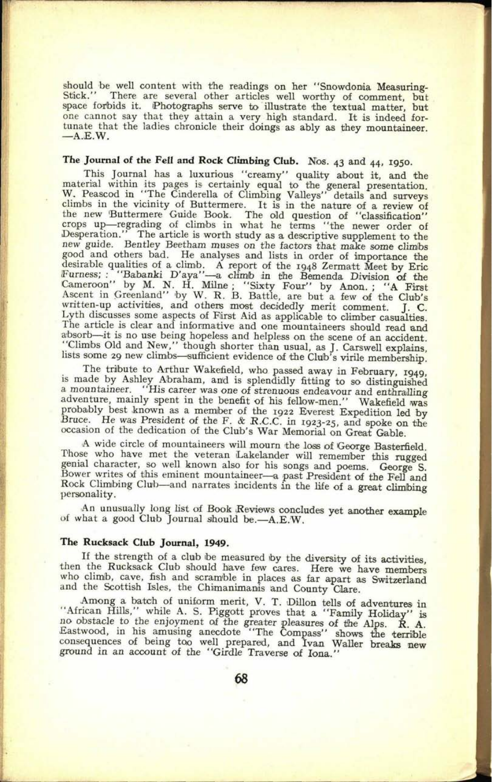should be well content with the readings on her "Snowdonia Measuring-Stick." There are several other articles well worthy of comment, but space forbids it. Photographs serve to illustrate the textual matter, but one cannot say that they attain a very high standard. It is indeed fortunate that the ladies chronicle their doings as ably as they mountaineer.  $-A.E.W.$ 

## **The Journal of the** Fell **and Rock Climbing Club.** *NOB.* 43 and 44, 1950.

This Journal has a luxurious "creamy" quality about it, and the material within its pages is certainly equal to the general presentation. W, Peascod in "The Cinderella of Climbing Valleys" details and surveys climbs in the vicinity of Buttermere. It is in the nature of a review of the new Buttermere Guide Book. The old question of "classification" crops up—regrading of climbs in what he terms "the newer order of Desperation." The article is worth study as a descriptive supplement to the new guide. Bentley Beetham muses on the factors that make some climbs good and others bad. He analyses and lists in order of importance the desirable qualities of a climb. A report of the 1948 Zermatt Meet by Eric Furness; : "Babanki D'aya"—a climb in the Bemenda Division of the Cameroon" by Ascent in Greenland" by W. R. B. Battle, are but a few of the Club's written-up activities, and others most decidedly merit comment. J. C. Lyth discusses some aspects of First Aid as applicable to climber casualties. Lyth discusses some aspects of First Aid as applicable to climber casualties.<br>The article is clear and informative and one mountaineers should read and<br>absorb—it is no use being hopeless and helpless on the scene of an acc

is made by Ashley Abraham, and is splendidly fitting to so distinguished a mountaineer. "His career was one of strenuous endeavour and enthralling adventure, mainly spent in the benefit of his fellow-men." Wakefield was probably best known as a member of the 1922 Everest Expedition led by<br>Bruce. He was President of the F. & R.C.C. in 1923-25, and spoke on the<br>occasion of the dedication of the Club's War Memorial on Great Gable.

A wide circle of mountaineers will mourn the loss of George Basterfield.<br>Those who have met the veteran Lakelander will remember this rugged genial character, so well known also for his songs and poems. George S.<br>Bower writes of this eminent mountaineer—a past President of the Fell and<br>Rock Climbing Club—and narrates incidents in the life of a great climbing<br>pe

An unusually long list of Book Reviews concludes yet another example of what a good Club Journal should be.  $-A.E.W.$ 

#### **The Rucksack Club Journal, 1949.**

If the strength of a club be measured by the diversity of its activities, then the Rucksack Club should have few cares. Here we have members who climib, cave, fish and scramble in places as far apart as Switzerland and the Scottish Isles, the Chimanimanis and County Clare.

Among a batch of uniform merit, V. T. Dillon tells of adventures in "African Hills," while A. S. Piggott proves that a "Family Holiday" is no obstacle to the enjoyment of the greater pleasures of tine Alps. R. A. Eastwood, in his amusing anecdote "The Compass" shows the terrible consequences of being too well prepared, and Ivan Waller breaks new ground in an account of the "Girdle Traverse of lona."